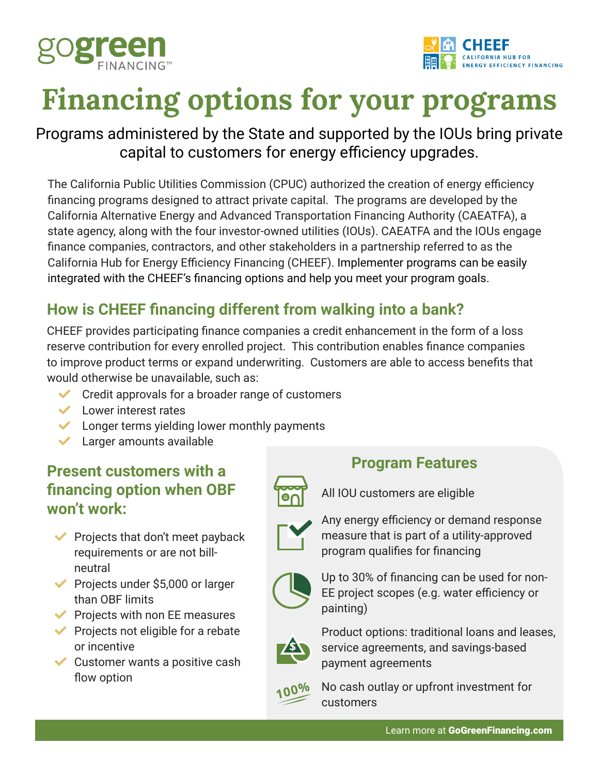



# **Financing options for your programs**

# Programs administered by the State and supported by the IOUs bring private capital to customers for energy efficiency upgrades.

The California Public Utilities Commission (CPUC) authorized the creation of energy efficiency financing programs designed to attract private capital. The programs are developed by the California Alternative Energy and Advanced Transportation Financing Authority (CAEATFA), a state agency, along with the four investor-owned utilities (IOUs). CAEATFA and the IOUs engage finance companies, contractors, and other stakeholders in a partnership referred to as the California Hub for Energy Efficiency Financing (CHEEF). Implementer programs can be easily integrated with the CHEEF's financing options and help you meet your program goals.

# **How is CHEEF financing different from walking into a bank?**

CHEEF provides participating finance companies a credit enhancement in the form of a loss reserve contribution for every enrolled project. This contribution enables finance companies to improve product terms or expand underwriting. Customers are able to access benefits that would otherwise be unavailable, such as:

- $\vee$  Credit approvals for a broader range of customers
- $\vee$  Lower interest rates
- $\blacktriangleright$  Longer terms yielding lower monthly payments
- Larger amounts available

# **Present customers with a financing option when OBF won't work:**

- $\blacktriangleright$  Projects that don't meet payback requirements or are not billneutral
- $\blacktriangleright$  Projects under \$5,000 or larger than OBF limits
- $\blacktriangleright$  Projects with non EE measures
- $\blacktriangleright$  Projects not eligible for a rebate or incentive
- $\vee$  Customer wants a positive cash flow option

# **Program Features**

All IOU customers are eligible



Any energy efficiency or demand response measure that is part of a utility-approved program qualifies for financing



Up to 30% of financing can be used for non-EE project scopes (e.g. water efficiency or painting)



Product options: traditional loans and leases, service agreements, and savings-based payment agreements



100% No cash outlay or upfront investment for<br>customers